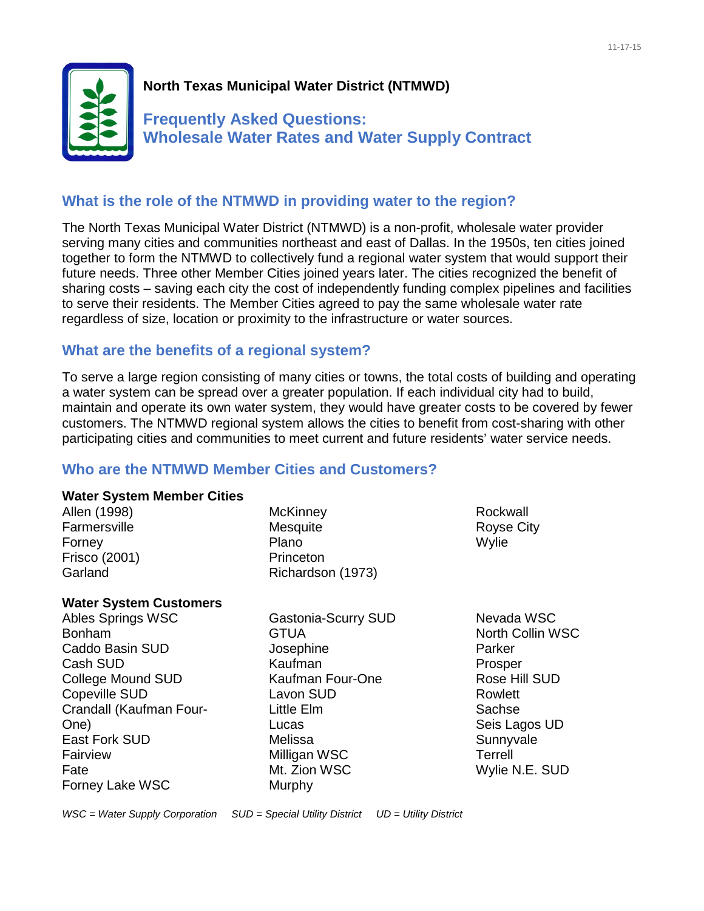

# **North Texas Municipal Water District (NTMWD)**

**Frequently Asked Questions: Wholesale Water Rates and Water Supply Contract**

### **What is the role of the NTMWD in providing water to the region?**

The North Texas Municipal Water District (NTMWD) is a non-profit, wholesale water provider serving many cities and communities northeast and east of Dallas. In the 1950s, ten cities joined together to form the NTMWD to collectively fund a regional water system that would support their future needs. Three other Member Cities joined years later. The cities recognized the benefit of sharing costs – saving each city the cost of independently funding complex pipelines and facilities to serve their residents. The Member Cities agreed to pay the same wholesale water rate regardless of size, location or proximity to the infrastructure or water sources.

# **What are the benefits of a regional system?**

To serve a large region consisting of many cities or towns, the total costs of building and operating a water system can be spread over a greater population. If each individual city had to build, maintain and operate its own water system, they would have greater costs to be covered by fewer customers. The NTMWD regional system allows the cities to benefit from cost-sharing with other participating cities and communities to meet current and future residents' water service needs.

# **Who are the NTMWD Member Cities and Customers?**

#### **Water System Member Cities**

| Allen (1998)  |
|---------------|
| Farmersville  |
| Forney        |
| Frisco (2001) |
| Garland       |

**McKinney Mesquite** Plano Princeton Richardson (1973)

### **Water System Customers**

Ables Springs WSC Bonham Caddo Basin SUD Cash SUD College Mound SUD Copeville SUD Crandall (Kaufman Four-One) East Fork SUD Fairview Fate Forney Lake WSC

Gastonia-Scurry SUD **GTUA** Josephine Kaufman Kaufman Four-One Lavon SUD Little Elm Lucas Melissa Milligan WSC Mt. Zion WSC **Murphy** 

Rockwall Royse City Wylie

Nevada WSC North Collin WSC Parker **Prosper** Rose Hill SUD Rowlett **Sachse** Seis Lagos UD **Sunnyvale** Terrell Wylie N.E. SUD

*WSC = Water Supply Corporation SUD = Special Utility District UD = Utility District*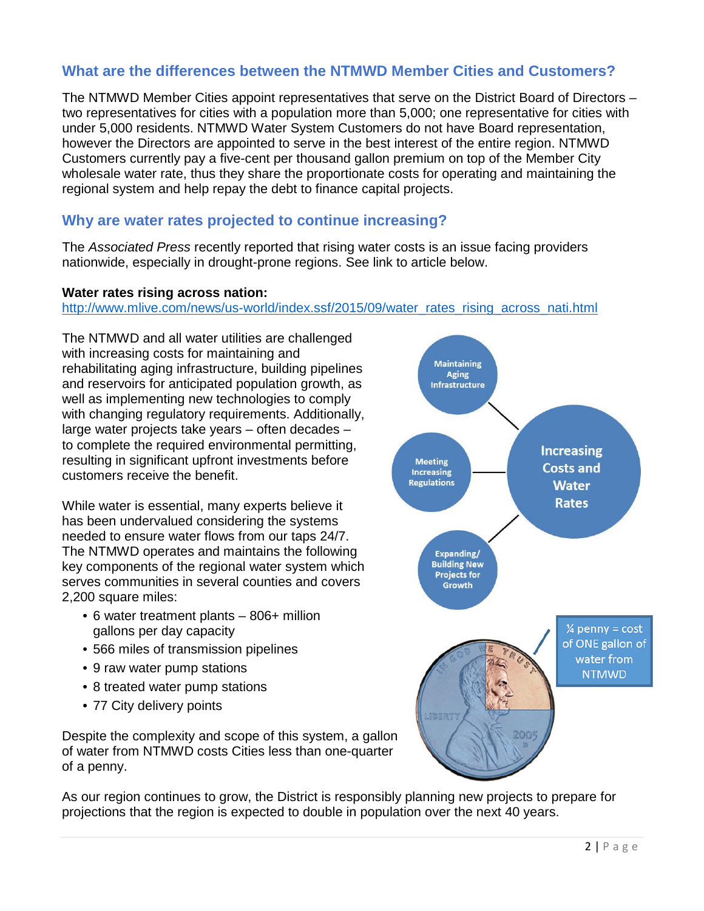# **What are the differences between the NTMWD Member Cities and Customers?**

The NTMWD Member Cities appoint representatives that serve on the District Board of Directors – two representatives for cities with a population more than 5,000; one representative for cities with under 5,000 residents. NTMWD Water System Customers do not have Board representation, however the Directors are appointed to serve in the best interest of the entire region. NTMWD Customers currently pay a five-cent per thousand gallon premium on top of the Member City wholesale water rate, thus they share the proportionate costs for operating and maintaining the regional system and help repay the debt to finance capital projects.

### **Why are water rates projected to continue increasing?**

The *Associated Press* recently reported that rising water costs is an issue facing providers nationwide, especially in drought-prone regions. See link to article below.

#### **Water rates rising across nation:**

[http://www.mlive.com/news/us-world/index.ssf/2015/09/water\\_rates\\_rising\\_across\\_nati.html](http://www.mlive.com/news/us-world/index.ssf/2015/09/water_rates_rising_across_nati.html)

The NTMWD and all water utilities are challenged with increasing costs for maintaining and rehabilitating aging infrastructure, building pipelines and reservoirs for anticipated population growth, as well as implementing new technologies to comply with changing regulatory requirements. Additionally, large water projects take years – often decades – to complete the required environmental permitting, resulting in significant upfront investments before customers receive the benefit.

While water is essential, many experts believe it has been undervalued considering the systems needed to ensure water flows from our taps 24/7. The NTMWD operates and maintains the following key components of the regional water system which serves communities in several counties and covers 2,200 square miles:

- 6 water treatment plants 806+ million gallons per day capacity
- 566 miles of transmission pipelines
- 9 raw water pump stations
- 8 treated water pump stations
- 77 City delivery points

Despite the complexity and scope of this system, a gallon of water from NTMWD costs Cities less than one-quarter of a penny.

**Maintaining Aging** Infrastructure **Increasing Meeting Costs and Increasing Regulations Water Rates** Expanding/ **Building New Projects for Growth**  $\frac{1}{4}$  penny = cost of ONE gallon of water from **NTMWD JB3R** 

As our region continues to grow, the District is responsibly planning new projects to prepare for projections that the region is expected to double in population over the next 40 years.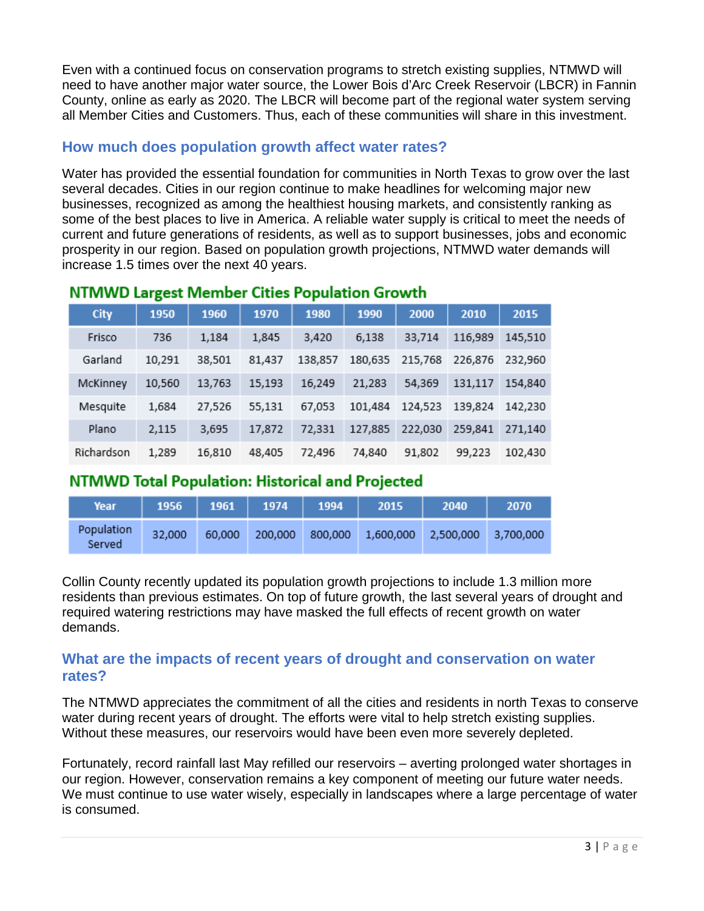Even with a continued focus on conservation programs to stretch existing supplies, NTMWD will need to have another major water source, the Lower Bois d'Arc Creek Reservoir (LBCR) in Fannin County, online as early as 2020. The LBCR will become part of the regional water system serving all Member Cities and Customers. Thus, each of these communities will share in this investment.

# **How much does population growth affect water rates?**

Water has provided the essential foundation for communities in North Texas to grow over the last several decades. Cities in our region continue to make headlines for welcoming major new businesses, recognized as among the healthiest housing markets, and consistently ranking as some of the best places to live in America. A reliable water supply is critical to meet the needs of current and future generations of residents, as well as to support businesses, jobs and economic prosperity in our region. Based on population growth projections, NTMWD water demands will increase 1.5 times over the next 40 years.

|  | <b>City</b> | 1950   | 1960   | 1970   | 1980    | 1990    | 2000    | 2010    | 2015    |
|--|-------------|--------|--------|--------|---------|---------|---------|---------|---------|
|  | Frisco      | 736    | 1,184  | 1,845  | 3,420   | 6,138   | 33,714  | 116,989 | 145,510 |
|  | Garland     | 10,291 | 38,501 | 81,437 | 138,857 | 180,635 | 215,768 | 226,876 | 232,960 |
|  | McKinney    | 10,560 | 13,763 | 15,193 | 16,249  | 21,283  | 54,369  | 131,117 | 154,840 |
|  | Mesquite    | 1,684  | 27,526 | 55,131 | 67,053  | 101,484 | 124,523 | 139,824 | 142,230 |
|  | Plano       | 2,115  | 3,695  | 17,872 | 72,331  | 127,885 | 222,030 | 259,841 | 271,140 |
|  | Richardson  | 1,289  | 16,810 | 48,405 | 72,496  | 74,840  | 91,802  | 99,223  | 102,430 |

### NTMWD Largest Member Cities Population Growth

# NTMWD Total Population: Historical and Projected

| Year                 |        |        | 1956   1961   1974   1994 | 2015 | 2040                                     | 2070 |
|----------------------|--------|--------|---------------------------|------|------------------------------------------|------|
| Population<br>Served | 32,000 | 60.000 | 200,000                   |      | 800,000  1,600,000  2,500,000  3,700,000 |      |

Collin County recently updated its population growth projections to include 1.3 million more residents than previous estimates. On top of future growth, the last several years of drought and required watering restrictions may have masked the full effects of recent growth on water demands.

### **What are the impacts of recent years of drought and conservation on water rates?**

The NTMWD appreciates the commitment of all the cities and residents in north Texas to conserve water during recent years of drought. The efforts were vital to help stretch existing supplies. Without these measures, our reservoirs would have been even more severely depleted.

Fortunately, record rainfall last May refilled our reservoirs – averting prolonged water shortages in our region. However, conservation remains a key component of meeting our future water needs. We must continue to use water wisely, especially in landscapes where a large percentage of water is consumed.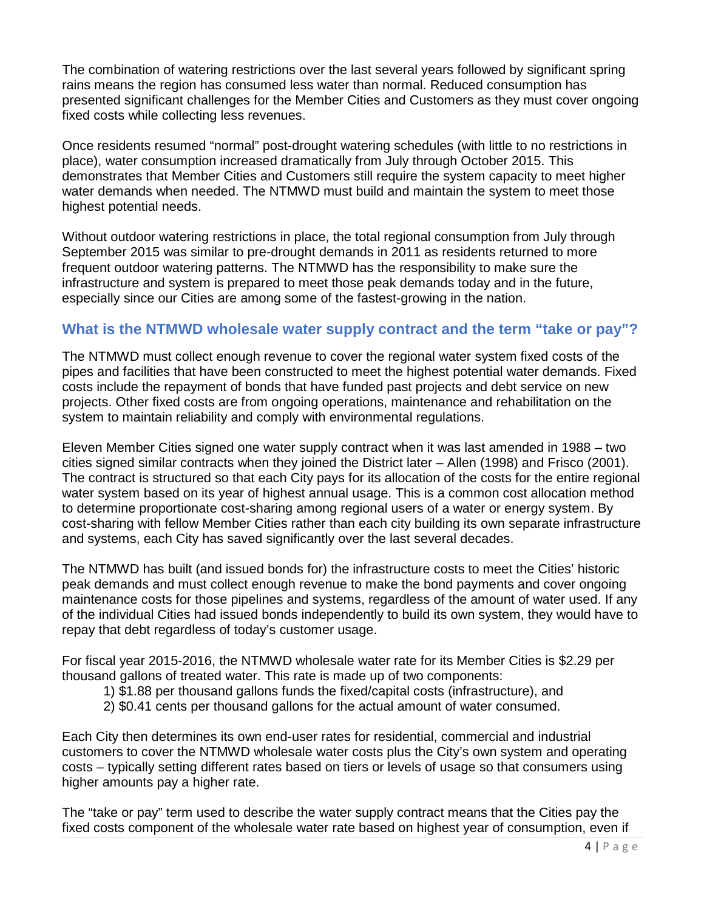The combination of watering restrictions over the last several years followed by significant spring rains means the region has consumed less water than normal. Reduced consumption has presented significant challenges for the Member Cities and Customers as they must cover ongoing fixed costs while collecting less revenues.

Once residents resumed "normal" post-drought watering schedules (with little to no restrictions in place), water consumption increased dramatically from July through October 2015. This demonstrates that Member Cities and Customers still require the system capacity to meet higher water demands when needed. The NTMWD must build and maintain the system to meet those highest potential needs.

Without outdoor watering restrictions in place, the total regional consumption from July through September 2015 was similar to pre-drought demands in 2011 as residents returned to more frequent outdoor watering patterns. The NTMWD has the responsibility to make sure the infrastructure and system is prepared to meet those peak demands today and in the future, especially since our Cities are among some of the fastest-growing in the nation.

### **What is the NTMWD wholesale water supply contract and the term "take or pay"?**

The NTMWD must collect enough revenue to cover the regional water system fixed costs of the pipes and facilities that have been constructed to meet the highest potential water demands. Fixed costs include the repayment of bonds that have funded past projects and debt service on new projects. Other fixed costs are from ongoing operations, maintenance and rehabilitation on the system to maintain reliability and comply with environmental regulations.

Eleven Member Cities signed one water supply contract when it was last amended in 1988 – two cities signed similar contracts when they joined the District later – Allen (1998) and Frisco (2001). The contract is structured so that each City pays for its allocation of the costs for the entire regional water system based on its year of highest annual usage. This is a common cost allocation method to determine proportionate cost-sharing among regional users of a water or energy system. By cost-sharing with fellow Member Cities rather than each city building its own separate infrastructure and systems, each City has saved significantly over the last several decades.

The NTMWD has built (and issued bonds for) the infrastructure costs to meet the Cities' historic peak demands and must collect enough revenue to make the bond payments and cover ongoing maintenance costs for those pipelines and systems, regardless of the amount of water used. If any of the individual Cities had issued bonds independently to build its own system, they would have to repay that debt regardless of today's customer usage.

For fiscal year 2015-2016, the NTMWD wholesale water rate for its Member Cities is \$2.29 per thousand gallons of treated water. This rate is made up of two components:

- 1) \$1.88 per thousand gallons funds the fixed/capital costs (infrastructure), and
- 2) \$0.41 cents per thousand gallons for the actual amount of water consumed.

Each City then determines its own end-user rates for residential, commercial and industrial customers to cover the NTMWD wholesale water costs plus the City's own system and operating costs – typically setting different rates based on tiers or levels of usage so that consumers using higher amounts pay a higher rate.

The "take or pay" term used to describe the water supply contract means that the Cities pay the fixed costs component of the wholesale water rate based on highest year of consumption, even if